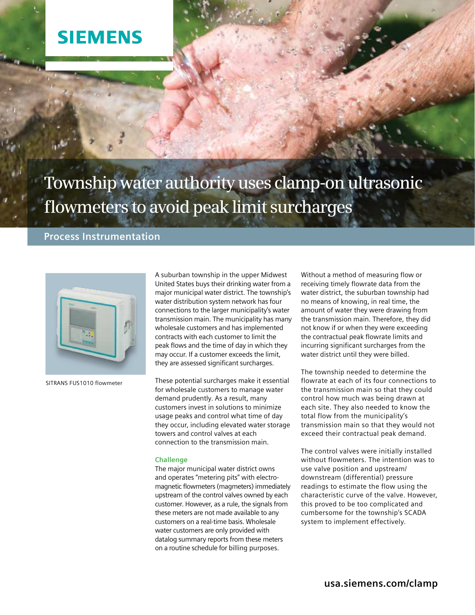## **SIEMENS**

# **Township water authority uses clamp-on ultrasonic flowmeters to avoid peak limit surcharges**

### **Process Instrumentation**



SITRANS FUS1010 flowmeter

A suburban township in the upper Midwest United States buys their drinking water from a major municipal water district. The township's water distribution system network has four connections to the larger municipality's water transmission main. The municipality has many wholesale customers and has implemented contracts with each customer to limit the peak flows and the time of day in which they may occur. If a customer exceeds the limit, they are assessed significant surcharges.

These potential surcharges make it essential for wholesale customers to manage water demand prudently. As a result, many customers invest in solutions to minimize usage peaks and control what time of day they occur, including elevated water storage towers and control valves at each connection to the transmission main.

#### **Challenge**

The major municipal water district owns and operates "metering pits" with electromagnetic flowmeters (magmeters) immediately upstream of the control valves owned by each customer. However, as a rule, the signals from these meters are not made available to any customers on a real-time basis. Wholesale water customers are only provided with datalog summary reports from these meters on a routine schedule for billing purposes.

Without a method of measuring flow or receiving timely flowrate data from the water district, the suburban township had no means of knowing, in real time, the amount of water they were drawing from the transmission main. Therefore, they did not know if or when they were exceeding the contractual peak flowrate limits and incurring significant surcharges from the water district until they were billed.

The township needed to determine the flowrate at each of its four connections to the transmission main so that they could control how much was being drawn at each site. They also needed to know the total flow from the municipality's transmission main so that they would not exceed their contractual peak demand.

The control valves were initially installed without flowmeters. The intention was to use valve position and upstream/ downstream (differential) pressure readings to estimate the flow using the characteristic curve of the valve. However, this proved to be too complicated and cumbersome for the township's SCADA system to implement effectively.